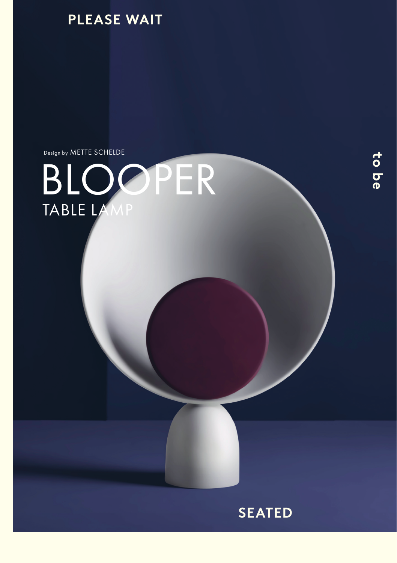

Design by METTE SCHELDE